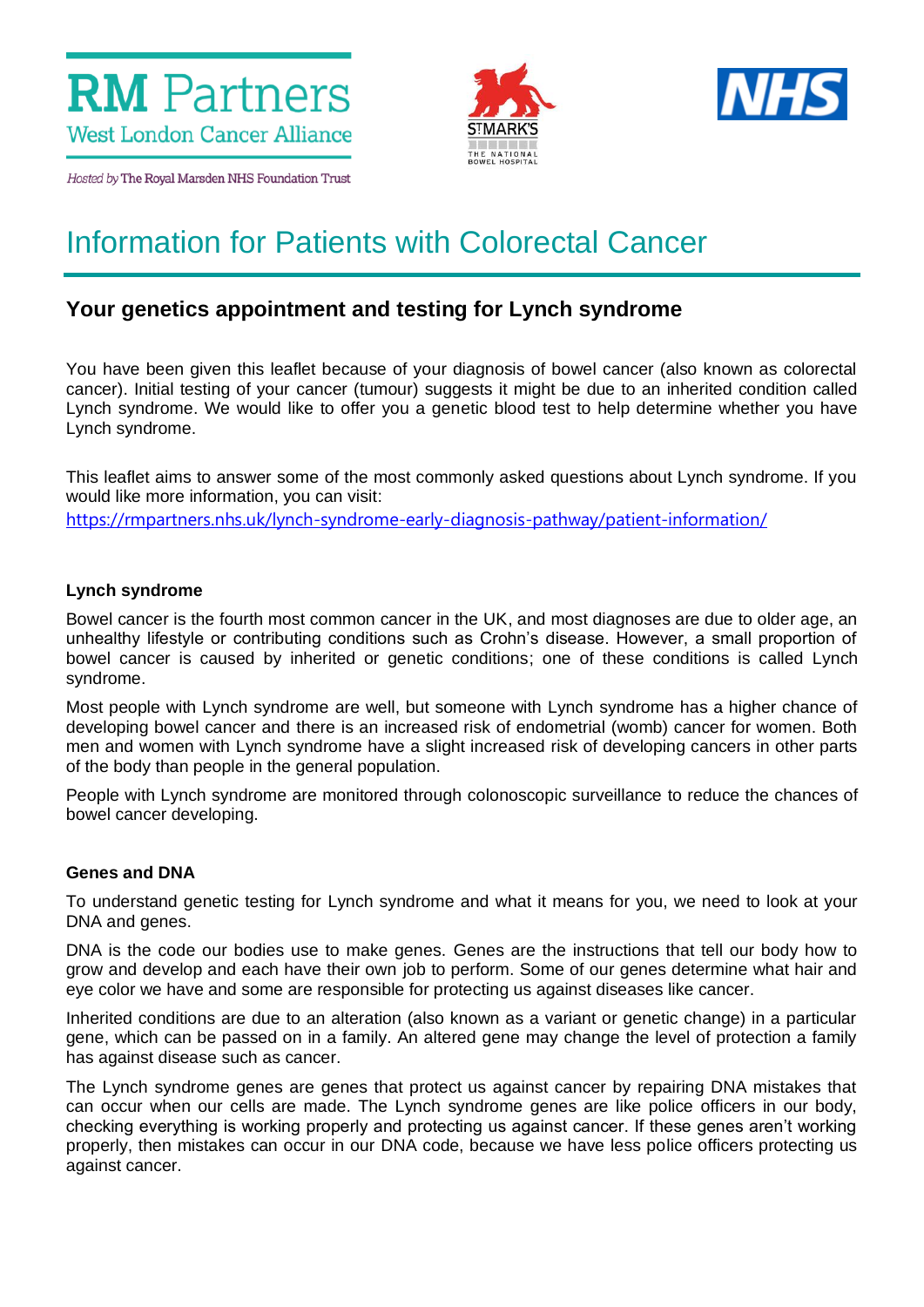



Hosted by The Royal Marsden NHS Foundation Trust

# Information for Patients with Colorectal Cancer

# **Your genetics appointment and testing for Lynch syndrome**

You have been given this leaflet because of your diagnosis of bowel cancer (also known as colorectal cancer). Initial testing of your cancer (tumour) suggests it might be due to an inherited condition called Lynch syndrome. We would like to offer you a genetic blood test to help determine whether you have Lynch syndrome.

This leaflet aims to answer some of the most commonly asked questions about Lynch syndrome. If you would like more information, you can visit: <https://rmpartners.nhs.uk/lynch-syndrome-early-diagnosis-pathway/patient-information/>

# **Lynch syndrome**

Bowel cancer is the fourth most common cancer in the UK, and most diagnoses are due to older age, an unhealthy lifestyle or contributing conditions such as Crohn's disease. However, a small proportion of bowel cancer is caused by inherited or genetic conditions; one of these conditions is called Lynch syndrome.

Most people with Lynch syndrome are well, but someone with Lynch syndrome has a higher chance of developing bowel cancer and there is an increased risk of endometrial (womb) cancer for women. Both men and women with Lynch syndrome have a slight increased risk of developing cancers in other parts of the body than people in the general population.

People with Lynch syndrome are monitored through colonoscopic surveillance to reduce the chances of bowel cancer developing.

#### **Genes and DNA**

To understand genetic testing for Lynch syndrome and what it means for you, we need to look at your DNA and genes.

DNA is the code our bodies use to make genes. Genes are the instructions that tell our body how to grow and develop and each have their own job to perform. Some of our genes determine what hair and eye color we have and some are responsible for protecting us against diseases like cancer.

Inherited conditions are due to an alteration (also known as a variant or genetic change) in a particular gene, which can be passed on in a family. An altered gene may change the level of protection a family has against disease such as cancer.

The Lynch syndrome genes are genes that protect us against cancer by repairing DNA mistakes that can occur when our cells are made. The Lynch syndrome genes are like police officers in our body, checking everything is working properly and protecting us against cancer. If these genes aren't working properly, then mistakes can occur in our DNA code, because we have less police officers protecting us against cancer.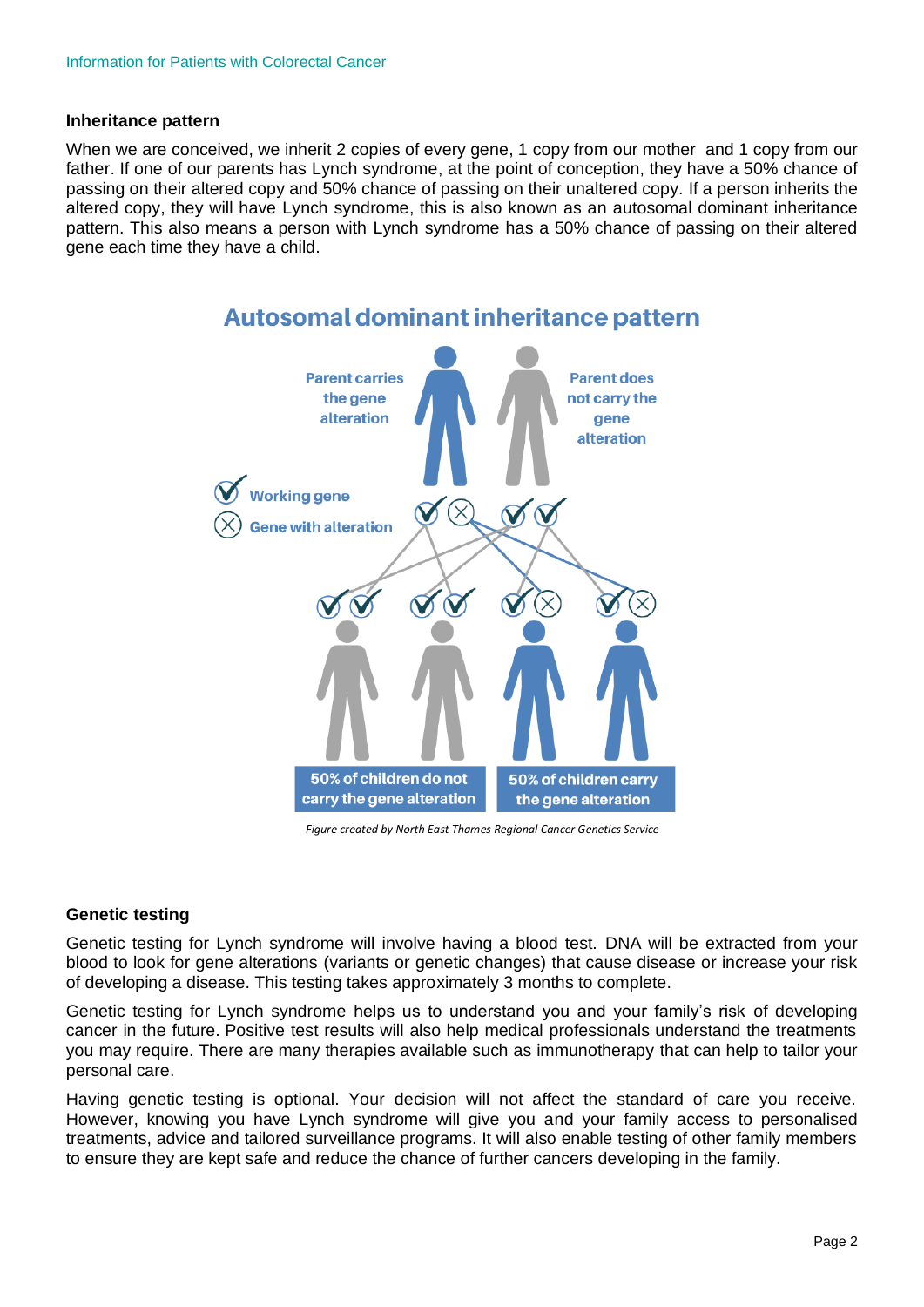#### **Inheritance pattern**

When we are conceived, we inherit 2 copies of every gene, 1 copy from our mother and 1 copy from our father. If one of our parents has Lynch syndrome, at the point of conception, they have a 50% chance of passing on their altered copy and 50% chance of passing on their unaltered copy. If a person inherits the altered copy, they will have Lynch syndrome, this is also known as an autosomal dominant inheritance pattern. This also means a person with Lynch syndrome has a 50% chance of passing on their altered gene each time they have a child.



 *Figure created by North East Thames Regional Cancer Genetics Service*

#### **Genetic testing**

Genetic testing for Lynch syndrome will involve having a blood test. DNA will be extracted from your blood to look for gene alterations (variants or genetic changes) that cause disease or increase your risk of developing a disease. This testing takes approximately 3 months to complete.

Genetic testing for Lynch syndrome helps us to understand you and your family's risk of developing cancer in the future. Positive test results will also help medical professionals understand the treatments you may require. There are many therapies available such as immunotherapy that can help to tailor your personal care.

Having genetic testing is optional. Your decision will not affect the standard of care you receive. However, knowing you have Lynch syndrome will give you and your family access to personalised treatments, advice and tailored surveillance programs. It will also enable testing of other family members to ensure they are kept safe and reduce the chance of further cancers developing in the family.